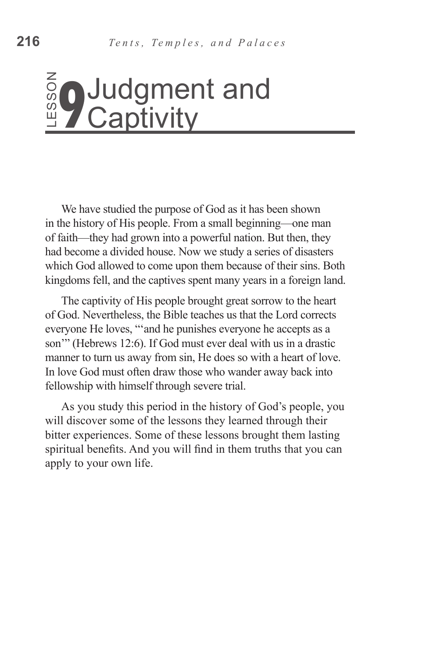# **Captivity**

We have studied the purpose of God as it has been shown in the history of His people. From a small beginning—one man of faith—they had grown into a powerful nation. But then, they had become a divided house. Now we study a series of disasters which God allowed to come upon them because of their sins. Both kingdoms fell, and the captives spent many years in a foreign land.

The captivity of His people brought great sorrow to the heart of God. Nevertheless, the Bible teaches us that the Lord corrects everyone He loves, "'and he punishes everyone he accepts as a son'" (Hebrews 12:6). If God must ever deal with us in a drastic manner to turn us away from sin, He does so with a heart of love. In love God must often draw those who wander away back into fellowship with himself through severe trial. **Booth Consumer Solution**<br> **Example 10**<br> **Example 10**<br> **Example 10**<br> **Example 10**<br> **Example 10**<br> **Example 1**<br>
In the history of His people. From a small beginning<br>
of faith—they had grown into a powerful nation. But<br>
had b

As you study this period in the history of God's people, you will discover some of the lessons they learned through their bitter experiences. Some of these lessons brought them lasting spiritual benefits. And you will find in them truths that you can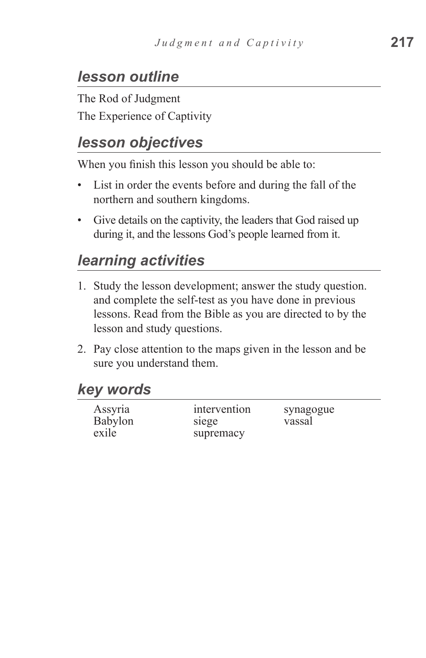## *lesson outline*

The Rod of Judgment The Experience of Captivity

## *lesson objectives*

When you finish this lesson you should be able to:

- List in order the events before and during the fall of the northern and southern kingdoms.
- Give details on the captivity, the leaders that God raised up during it, and the lessons God's people learned from it.

## *learning activities*

- 1. Study the lesson development; answer the study question. and complete the self-test as you have done in previous lessons. Read from the Bible as you are directed to by the lesson and study questions.
- 2. Pay close attention to the maps given in the lesson and be sure you understand them.

#### *key words*

| Assyria | intervention | synagogue |
|---------|--------------|-----------|
| Babylon | siege        | vassal    |
| exile   | supremacy    |           |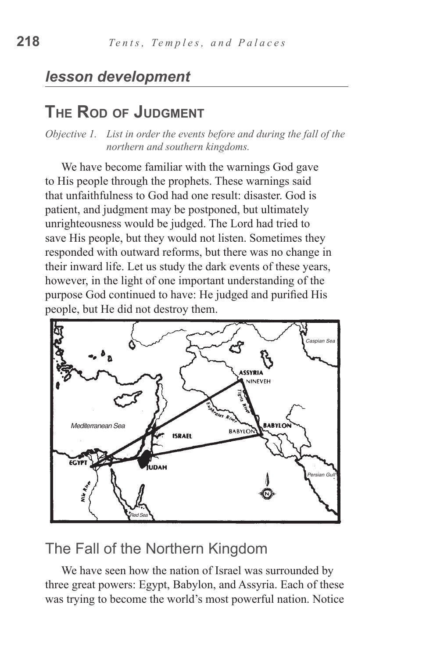#### *lesson development*

#### **The Rod of Judgment**

*Objective 1. List in order the events before and during the fall of the northern and southern kingdoms.*

We have become familiar with the warnings God gave to His people through the prophets. These warnings said that unfaithfulness to God had one result: disaster. God is patient, and judgment may be postponed, but ultimately unrighteousness would be judged. The Lord had tried to save His people, but they would not listen. Sometimes they responded with outward reforms, but there was no change in their inward life. Let us study the dark events of these years, however, in the light of one important understanding of the purpose God continued to have: He judged and purified His people, but He did not destroy them.



#### The Fall of the Northern Kingdom

We have seen how the nation of Israel was surrounded by three great powers: Egypt, Babylon, and Assyria. Each of these was trying to become the world's most powerful nation. Notice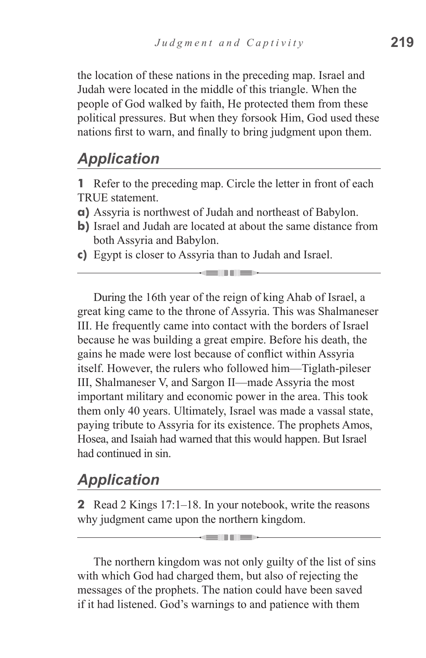the location of these nations in the preceding map. Israel and Judah were located in the middle of this triangle. When the people of God walked by faith, He protected them from these political pressures. But when they forsook Him, God used these nations first to warn, and finally to bring judgment upon them.

#### *Application*

**1** Refer to the preceding map. Circle the letter in front of each TRUE statement.

- **a)** Assyria is northwest of Judah and northeast of Babylon.
- **b)** Israel and Judah are located at about the same distance from both Assyria and Babylon.

ka mata

**c)** Egypt is closer to Assyria than to Judah and Israel.

During the 16th year of the reign of king Ahab of Israel, a great king came to the throne of Assyria. This was Shalmaneser III. He frequently came into contact with the borders of Israel because he was building a great empire. Before his death, the gains he made were lost because of conflict within Assyria itself. However, the rulers who followed him—Tiglath-pileser III, Shalmaneser V, and Sargon II—made Assyria the most important military and economic power in the area. This took them only 40 years. Ultimately, Israel was made a vassal state, paying tribute to Assyria for its existence. The prophets Amos, Hosea, and Isaiah had warned that this would happen. But Israel had continued in sin.

#### *Application*

**2** Read 2 Kings 17:1–18. In your notebook, write the reasons why judgment came upon the northern kingdom.

**German Mark** 

The northern kingdom was not only guilty of the list of sins with which God had charged them, but also of rejecting the messages of the prophets. The nation could have been saved if it had listened. God's warnings to and patience with them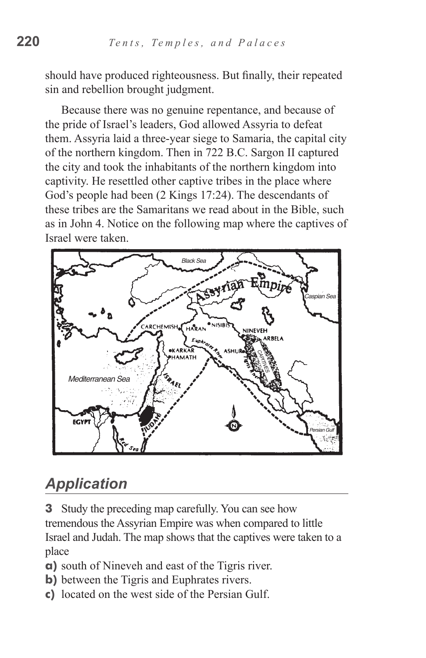should have produced righteousness. But finally, their repeated sin and rebellion brought judgment.

Because there was no genuine repentance, and because of the pride of Israel's leaders, God allowed Assyria to defeat them. Assyria laid a three-year siege to Samaria, the capital city of the northern kingdom. Then in 722 B.C. Sargon II captured the city and took the inhabitants of the northern kingdom into captivity. He resettled other captive tribes in the place where God's people had been (2 Kings 17:24). The descendants of these tribes are the Samaritans we read about in the Bible, such as in John 4. Notice on the following map where the captives of Israel were taken.



## *Application*

**3** Study the preceding map carefully. You can see how tremendous the Assyrian Empire was when compared to little Israel and Judah. The map shows that the captives were taken to a place

- **a)** south of Nineveh and east of the Tigris river.
- **b**) between the Tigris and Euphrates rivers.
- **c)** located on the west side of the Persian Gulf.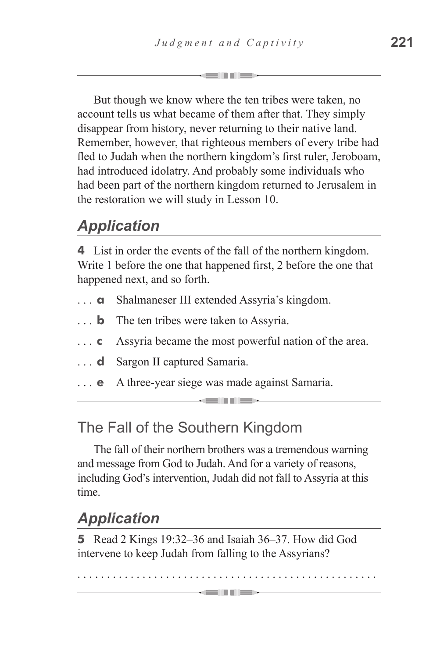But though we know where the ten tribes were taken, no account tells us what became of them after that. They simply disappear from history, never returning to their native land. Remember, however, that righteous members of every tribe had fled to Judah when the northern kingdom's first ruler, Jeroboam, had introduced idolatry. And probably some individuals who had been part of the northern kingdom returned to Jerusalem in the restoration we will study in Lesson 10.

## *Application*

**4** List in order the events of the fall of the northern kingdom. Write 1 before the one that happened first, 2 before the one that happened next, and so forth.

- **a** Shalmaneser III extended Assyria's kingdom.
- **b** The ten tribes were taken to Assyria.
- **c** Assyria became the most powerful nation of the area.

-----

- **d** Sargon II captured Samaria.
- **e** A three-year siege was made against Samaria.

## The Fall of the Southern Kingdom

The fall of their northern brothers was a tremendous warning and message from God to Judah. And for a variety of reasons, including God's intervention, Judah did not fall to Assyria at this time.

## *Application*

**5** Read 2 Kings 19:32–36 and Isaiah 36–37. How did God intervene to keep Judah from falling to the Assyrians?

. . . . . . . . . . . . . . . . . . . . . . . . . . . . . . . . . . . . . . . . . . . . . . . . . . . -million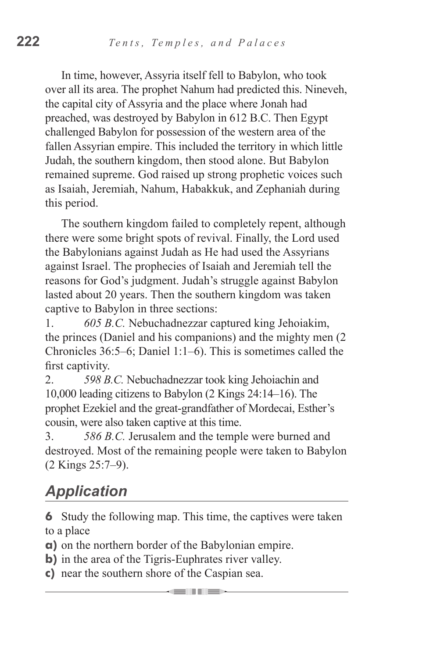In time, however, Assyria itself fell to Babylon, who took over all its area. The prophet Nahum had predicted this. Nineveh, the capital city of Assyria and the place where Jonah had preached, was destroyed by Babylon in 612 B.C. Then Egypt challenged Babylon for possession of the western area of the fallen Assyrian empire. This included the territory in which little Judah, the southern kingdom, then stood alone. But Babylon remained supreme. God raised up strong prophetic voices such as Isaiah, Jeremiah, Nahum, Habakkuk, and Zephaniah during this period.

The southern kingdom failed to completely repent, although there were some bright spots of revival. Finally, the Lord used the Babylonians against Judah as He had used the Assyrians against Israel. The prophecies of Isaiah and Jeremiah tell the reasons for God's judgment. Judah's struggle against Babylon lasted about 20 years. Then the southern kingdom was taken captive to Babylon in three sections:

1. *605 B.C.* Nebuchadnezzar captured king Jehoiakim, the princes (Daniel and his companions) and the mighty men (2 Chronicles 36:5–6; Daniel 1:1–6). This is sometimes called the first captivity.

2. *598 B.C.* Nebuchadnezzar took king Jehoiachin and 10,000 leading citizens to Babylon (2 Kings 24:14–16). The prophet Ezekiel and the great-grandfather of Mordecai, Esther's cousin, were also taken captive at this time.

3. *586 B.C.* Jerusalem and the temple were burned and destroyed. Most of the remaining people were taken to Babylon (2 Kings 25:7–9).

# *Application*

**6** Study the following map. This time, the captives were taken to a place

----

- **a)** on the northern border of the Babylonian empire.
- **b**) in the area of the Tigris-Euphrates river valley.
- **c)** near the southern shore of the Caspian sea.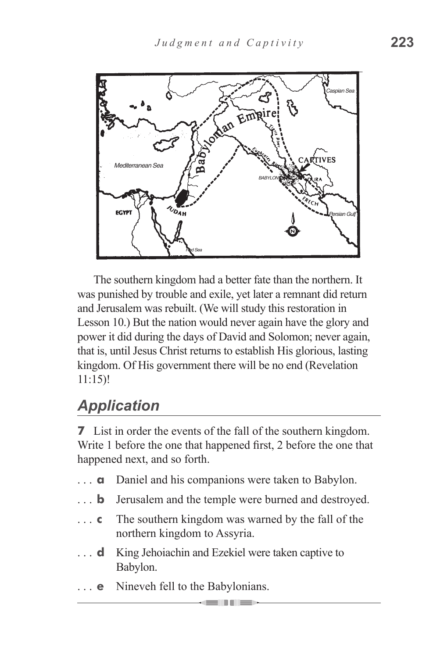

The southern kingdom had a better fate than the northern. It was punished by trouble and exile, yet later a remnant did return and Jerusalem was rebuilt. (We will study this restoration in Lesson 10.) But the nation would never again have the glory and power it did during the days of David and Solomon; never again, that is, until Jesus Christ returns to establish His glorious, lasting kingdom. Of His government there will be no end (Revelation 11:15)!

## *Application*

**7** List in order the events of the fall of the southern kingdom. Write 1 before the one that happened first, 2 before the one that happened next, and so forth.

- **a** Daniel and his companions were taken to Babylon.
- **b** Jerusalem and the temple were burned and destroyed.
- **c** The southern kingdom was warned by the fall of the northern kingdom to Assyria.
- **d** King Jehoiachin and Ezekiel were taken captive to Babylon.
- **e** Nineveh fell to the Babylonians.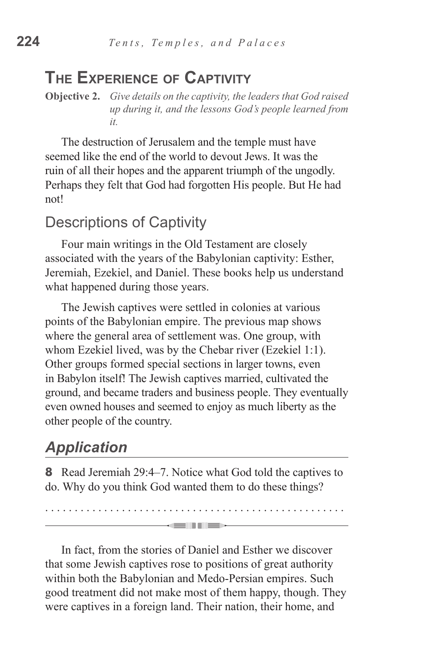#### **The Experience of Captivity**

**Objective 2.** *Give details on the captivity, the leaders that God raised up during it, and the lessons God's people learned from it.*

The destruction of Jerusalem and the temple must have seemed like the end of the world to devout Jews. It was the ruin of all their hopes and the apparent triumph of the ungodly. Perhaps they felt that God had forgotten His people. But He had not!

#### Descriptions of Captivity

Four main writings in the Old Testament are closely associated with the years of the Babylonian captivity: Esther, Jeremiah, Ezekiel, and Daniel. These books help us understand what happened during those years.

The Jewish captives were settled in colonies at various points of the Babylonian empire. The previous map shows where the general area of settlement was. One group, with whom Ezekiel lived, was by the Chebar river (Ezekiel 1:1). Other groups formed special sections in larger towns, even in Babylon itself! The Jewish captives married, cultivated the ground, and became traders and business people. They eventually even owned houses and seemed to enjoy as much liberty as the other people of the country.

## *Application*

**8** Read Jeremiah 29:4–7. Notice what God told the captives to do. Why do you think God wanted them to do these things?

. . . . . . . . . . . . . . . . . . . . . . . . . . . . . . . . . . . . . . . . . . . . . . . . . . .

 $\rightarrow$  and the  $\rightarrow$ 

In fact, from the stories of Daniel and Esther we discover that some Jewish captives rose to positions of great authority within both the Babylonian and Medo-Persian empires. Such good treatment did not make most of them happy, though. They were captives in a foreign land. Their nation, their home, and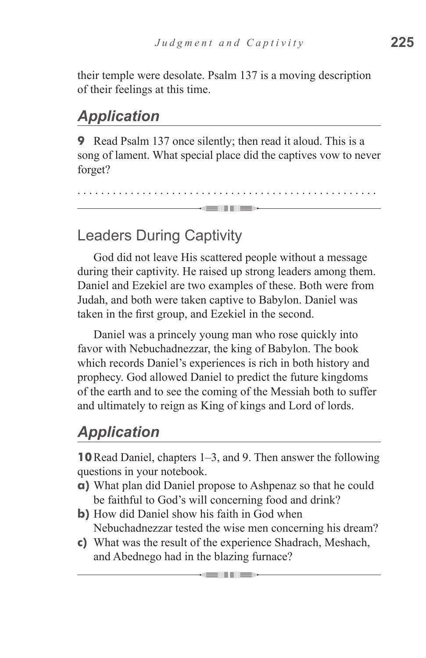their temple were desolate. Psalm 137 is a moving description of their feelings at this time.

## *Application*

**9** Read Psalm 137 once silently; then read it aloud. This is a song of lament. What special place did the captives vow to never forget?

. . . . . . . . . . . . . . . . . . . . . . . . . . . . . . . . . . . . . . . . . . . . . . . . . . . an Timber

#### Leaders During Captivity

God did not leave His scattered people without a message during their captivity. He raised up strong leaders among them. Daniel and Ezekiel are two examples of these. Both were from Judah, and both were taken captive to Babylon. Daniel was taken in the first group, and Ezekiel in the second.

Daniel was a princely young man who rose quickly into favor with Nebuchadnezzar, the king of Babylon. The book which records Daniel's experiences is rich in both history and prophecy. God allowed Daniel to predict the future kingdoms of the earth and to see the coming of the Messiah both to suffer and ultimately to reign as King of kings and Lord of lords.

## *Application*

**10**Read Daniel, chapters 1–3, and 9. Then answer the following questions in your notebook.

- **a)** What plan did Daniel propose to Ashpenaz so that he could be faithful to God's will concerning food and drink?
- **b)** How did Daniel show his faith in God when Nebuchadnezzar tested the wise men concerning his dream?
- **c)** What was the result of the experience Shadrach, Meshach, and Abednego had in the blazing furnace?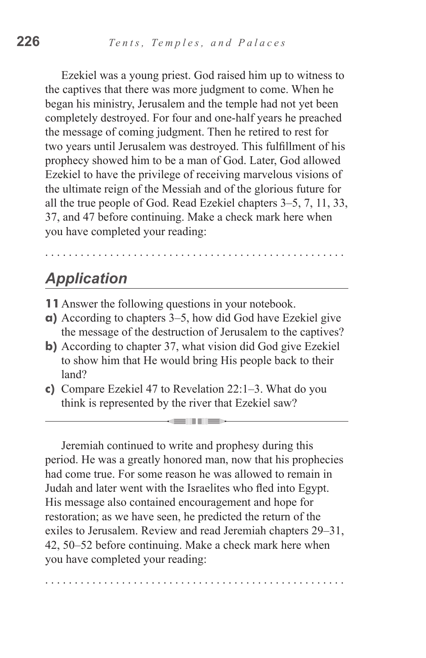Ezekiel was a young priest. God raised him up to witness to the captives that there was more judgment to come. When he began his ministry, Jerusalem and the temple had not yet been completely destroyed. For four and one-half years he preached the message of coming judgment. Then he retired to rest for two years until Jerusalem was destroyed. This fulfillment of his prophecy showed him to be a man of God. Later, God allowed Ezekiel to have the privilege of receiving marvelous visions of the ultimate reign of the Messiah and of the glorious future for all the true people of God. Read Ezekiel chapters 3–5, 7, 11, 33, 37, and 47 before continuing. Make a check mark here when you have completed your reading:

## *Application*

- **11**Answer the following questions in your notebook.
- **a)** According to chapters 3–5, how did God have Ezekiel give the message of the destruction of Jerusalem to the captives?

. . . . . . . . . . . . . . . . . . . . . . . . . . . . . . . . . . . . . . . . . . . . . . . . . . .

- **b**) According to chapter 37, what vision did God give Ezekiel to show him that He would bring His people back to their land?
- **c)** Compare Ezekiel 47 to Revelation 22:1–3. What do you think is represented by the river that Ezekiel saw?

**STEEL THE ST** 

Jeremiah continued to write and prophesy during this period. He was a greatly honored man, now that his prophecies had come true. For some reason he was allowed to remain in Judah and later went with the Israelites who fled into Egypt. His message also contained encouragement and hope for restoration; as we have seen, he predicted the return of the exiles to Jerusalem. Review and read Jeremiah chapters 29–31, 42, 50–52 before continuing. Make a check mark here when you have completed your reading:

. . . . . . . . . . . . . . . . . . . . . . . . . . . . . . . . . . . . . . . . . . . . . . . . . . .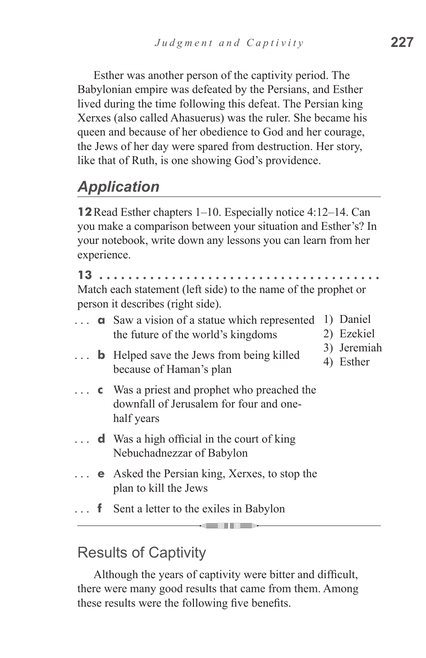Esther was another person of the captivity period. The Babylonian empire was defeated by the Persians, and Esther lived during the time following this defeat. The Persian king Xerxes (also called Ahasuerus) was the ruler. She became his queen and because of her obedience to God and her courage, the Jews of her day were spared from destruction. Her story, like that of Ruth, is one showing God's providence.

## *Application*

**12**Read Esther chapters 1–10. Especially notice 4:12–14. Can you make a comparison between your situation and Esther's? In your notebook, write down any lessons you can learn from her experience.

**13 . . . . . . . . . . . . . . . . . . . . . . . . . . . . . . . . . . . . . .**  Match each statement (left side) to the name of the prophet or

person it describes (right side).

**a** Saw a vision of a statue which represented 1) Daniel the future of the world's kingdoms **b** Helped save the Jews from being killed because of Haman's plan **c**  Was a priest and prophet who preached the downfall of Jerusalem for four and onehalf years **d** Was a high official in the court of king Nebuchadnezzar of Babylon **e** Asked the Persian king, Xerxes, to stop the plan to kill the Jews **f** Sent a letter to the exiles in Babylon 2) Ezekiel 3) Jeremiah 4) Esther

------

#### Results of Captivity

Although the years of captivity were bitter and difficult, there were many good results that came from them. Among these results were the following five benefits.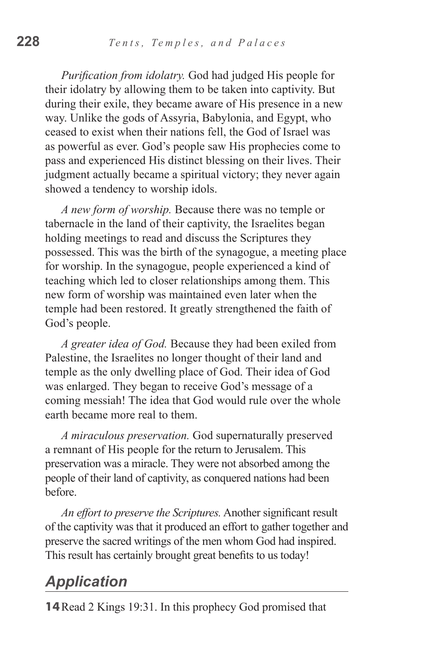*Purification from idolatry.* God had judged His people for their idolatry by allowing them to be taken into captivity. But during their exile, they became aware of His presence in a new way. Unlike the gods of Assyria, Babylonia, and Egypt, who ceased to exist when their nations fell, the God of Israel was as powerful as ever. God's people saw His prophecies come to pass and experienced His distinct blessing on their lives. Their judgment actually became a spiritual victory; they never again showed a tendency to worship idols.

*A new form of worship.* Because there was no temple or tabernacle in the land of their captivity, the Israelites began holding meetings to read and discuss the Scriptures they possessed. This was the birth of the synagogue, a meeting place for worship. In the synagogue, people experienced a kind of teaching which led to closer relationships among them. This new form of worship was maintained even later when the temple had been restored. It greatly strengthened the faith of God's people.

*A greater idea of God.* Because they had been exiled from Palestine, the Israelites no longer thought of their land and temple as the only dwelling place of God. Their idea of God was enlarged. They began to receive God's message of a coming messiah! The idea that God would rule over the whole earth became more real to them.

*A miraculous preservation.* God supernaturally preserved a remnant of His people for the return to Jerusalem. This preservation was a miracle. They were not absorbed among the people of their land of captivity, as conquered nations had been before.

*An effort to preserve the Scriptures.* Another significant result of the captivity was that it produced an effort to gather together and preserve the sacred writings of the men whom God had inspired. This result has certainly brought great benefits to us today!

#### *Application*

**14**Read 2 Kings 19:31. In this prophecy God promised that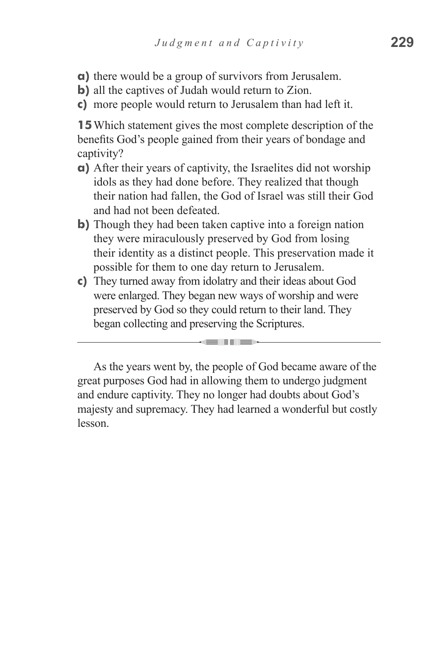- **a)** there would be a group of survivors from Jerusalem.
- **b**) all the captives of Judah would return to Zion.
- **c)** more people would return to Jerusalem than had left it.

**15**Which statement gives the most complete description of the benefits God's people gained from their years of bondage and captivity?

- **a)** After their years of captivity, the Israelites did not worship idols as they had done before. They realized that though their nation had fallen, the God of Israel was still their God and had not been defeated.
- **b**) Though they had been taken captive into a foreign nation they were miraculously preserved by God from losing their identity as a distinct people. This preservation made it possible for them to one day return to Jerusalem.
- **c)** They turned away from idolatry and their ideas about God were enlarged. They began new ways of worship and were preserved by God so they could return to their land. They began collecting and preserving the Scriptures.

**STEP THE STATE** 

As the years went by, the people of God became aware of the great purposes God had in allowing them to undergo judgment and endure captivity. They no longer had doubts about God's majesty and supremacy. They had learned a wonderful but costly lesson.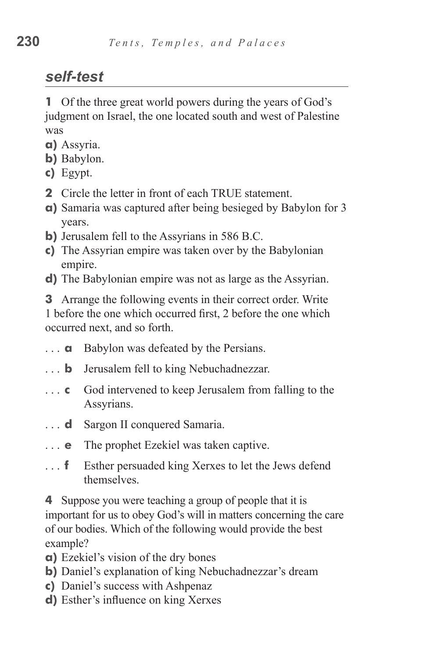## *self-test*

**1** Of the three great world powers during the years of God's judgment on Israel, the one located south and west of Palestine was

- **a)** Assyria.
- **b)** Babylon.
- **c)** Egypt.
- **2** Circle the letter in front of each TRUE statement.
- **a)** Samaria was captured after being besieged by Babylon for 3 years.
- **b)** Jerusalem fell to the Assyrians in 586 B.C.
- **c)** The Assyrian empire was taken over by the Babylonian empire.
- **d)** The Babylonian empire was not as large as the Assyrian.

**3** Arrange the following events in their correct order. Write 1 before the one which occurred first, 2 before the one which occurred next, and so forth.

- **a** Babylon was defeated by the Persians.
- **b** Jerusalem fell to king Nebuchadnezzar.
- **c** God intervened to keep Jerusalem from falling to the Assyrians.
- **d** Sargon II conquered Samaria.
- **e** The prophet Ezekiel was taken captive.
- **f** Esther persuaded king Xerxes to let the Jews defend themselves.

**4** Suppose you were teaching a group of people that it is important for us to obey God's will in matters concerning the care of our bodies. Which of the following would provide the best example?

- **a)** Ezekiel's vision of the dry bones
- **b**) Daniel's explanation of king Nebuchadnezzar's dream
- **c)** Daniel's success with Ashpenaz
- **d)** Esther's influence on king Xerxes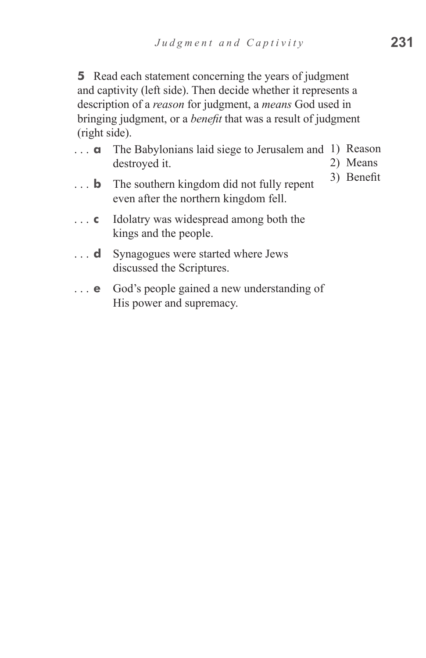**5** Read each statement concerning the years of judgment and captivity (left side). Then decide whether it represents a description of a *reason* for judgment, a *means* God used in bringing judgment, or a *benefit* that was a result of judgment (right side).

- **a**  The Babylonians laid siege to Jerusalem and 1) Reason destroyed it. 2) Means
- **b** The southern kingdom did not fully repent even after the northern kingdom fell.
- **c** Idolatry was widespread among both the kings and the people.
- ... **d** Synagogues were started where Jews discussed the Scriptures.
- **e** God's people gained a new understanding of His power and supremacy.

3) Benefit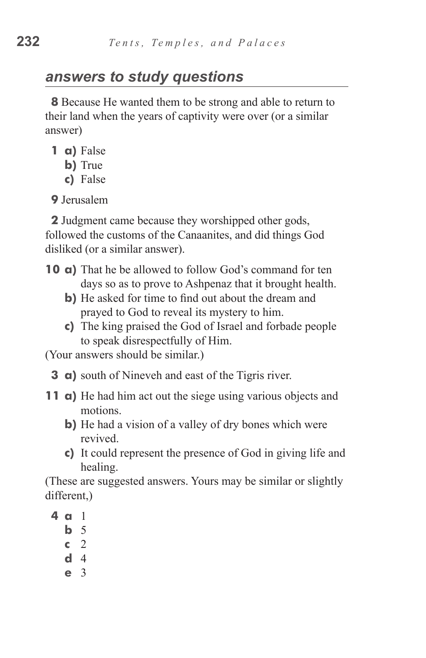## *answers to study questions*

**8** Because He wanted them to be strong and able to return to their land when the years of captivity were over (or a similar answer)

- **1 a)** False
	- **b**) True
	- **c)**  False

**9** Jerusalem

**2** Judgment came because they worshipped other gods, followed the customs of the Canaanites, and did things God disliked (or a similar answer).

- **10 a)** That he be allowed to follow God's command for ten days so as to prove to Ashpenaz that it brought health.
	- **b**) He asked for time to find out about the dream and prayed to God to reveal its mystery to him.
	- **c)**  The king praised the God of Israel and forbade people to speak disrespectfully of Him.

(Your answers should be similar.)

- **3 a**) south of Nineveh and east of the Tigris river.
- **11 a)** He had him act out the siege using various objects and motions.
	- **b**) He had a vision of a valley of dry bones which were revived.
	- **c)** It could represent the presence of God in giving life and healing.

(These are suggested answers. Yours may be similar or slightly different,)

- **4 a** 1
	- **b**  5
	- **c**  2
	- **d**  4
	- **e**  3